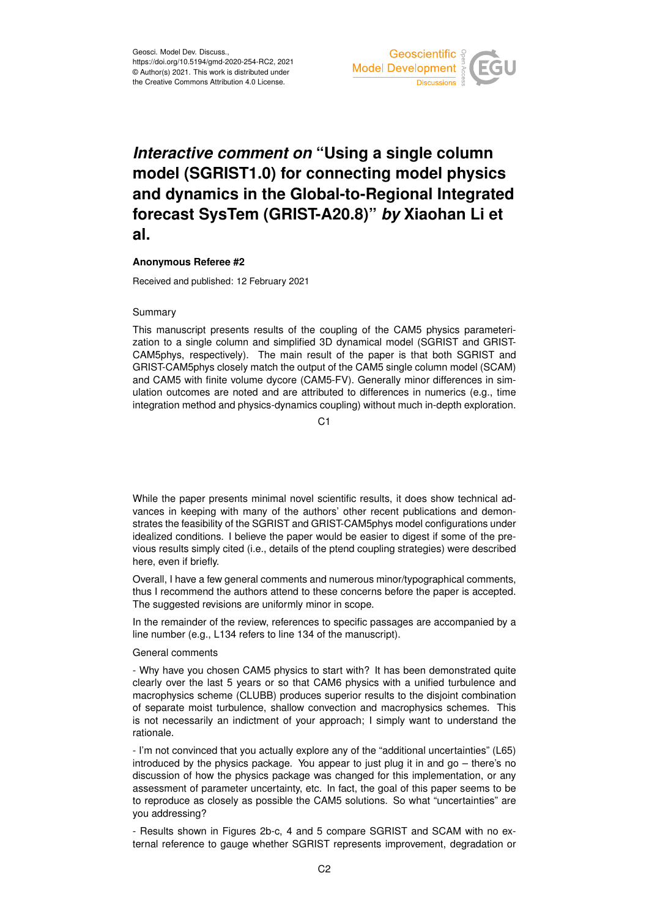

# *Interactive comment on* **"Using a single column model (SGRIST1.0) for connecting model physics and dynamics in the Global-to-Regional Integrated forecast SysTem (GRIST-A20.8)"** *by* **Xiaohan Li et al.**

## **Anonymous Referee #2**

Received and published: 12 February 2021

### Summary

This manuscript presents results of the coupling of the CAM5 physics parameterization to a single column and simplified 3D dynamical model (SGRIST and GRIST-CAM5phys, respectively). The main result of the paper is that both SGRIST and GRIST-CAM5phys closely match the output of the CAM5 single column model (SCAM) and CAM5 with finite volume dycore (CAM5-FV). Generally minor differences in simulation outcomes are noted and are attributed to differences in numerics (e.g., time integration method and physics-dynamics coupling) without much in-depth exploration.

 $C<sub>1</sub>$ 

While the paper presents minimal novel scientific results, it does show technical advances in keeping with many of the authors' other recent publications and demonstrates the feasibility of the SGRIST and GRIST-CAM5phys model configurations under idealized conditions. I believe the paper would be easier to digest if some of the previous results simply cited (i.e., details of the ptend coupling strategies) were described here, even if briefly.

Overall, I have a few general comments and numerous minor/typographical comments, thus I recommend the authors attend to these concerns before the paper is accepted. The suggested revisions are uniformly minor in scope.

In the remainder of the review, references to specific passages are accompanied by a line number (e.g., L134 refers to line 134 of the manuscript).

### General comments

- Why have you chosen CAM5 physics to start with? It has been demonstrated quite clearly over the last 5 years or so that CAM6 physics with a unified turbulence and macrophysics scheme (CLUBB) produces superior results to the disjoint combination of separate moist turbulence, shallow convection and macrophysics schemes. This is not necessarily an indictment of your approach; I simply want to understand the rationale.

- I'm not convinced that you actually explore any of the "additional uncertainties" (L65) introduced by the physics package. You appear to just plug it in and go – there's no discussion of how the physics package was changed for this implementation, or any assessment of parameter uncertainty, etc. In fact, the goal of this paper seems to be to reproduce as closely as possible the CAM5 solutions. So what "uncertainties" are you addressing?

- Results shown in Figures 2b-c, 4 and 5 compare SGRIST and SCAM with no external reference to gauge whether SGRIST represents improvement, degradation or